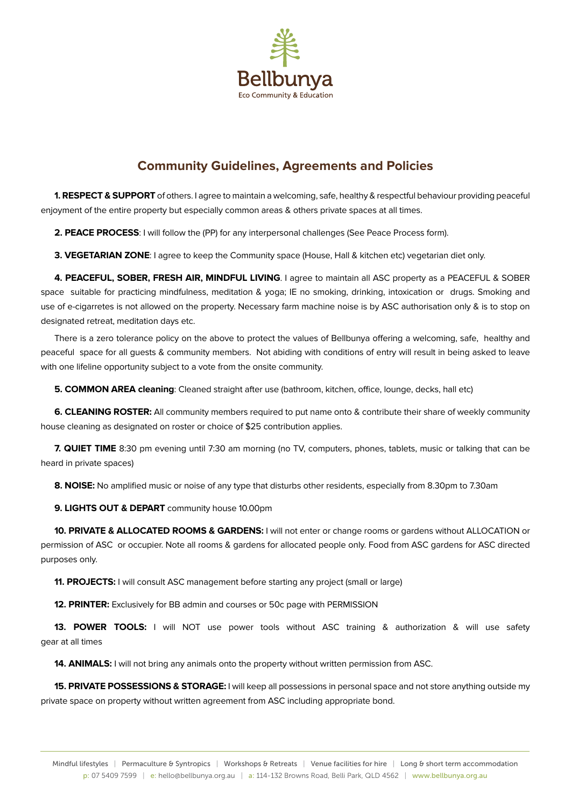

## **Community Guidelines, Agreements and Policies**

**1. RESPECT & SUPPORT** of others. I agree to maintain a welcoming, safe, healthy & respectful behaviour providing peaceful enjoyment of the entire property but especially common areas & others private spaces at all times.

**2. PEACE PROCESS**: I will follow the (PP) for any interpersonal challenges (See Peace Process form).

**3. VEGETARIAN ZONE**: I agree to keep the Community space (House, Hall & kitchen etc) vegetarian diet only.

**4. PEACEFUL, SOBER, FRESH AIR, MINDFUL LIVING**. I agree to maintain all ASC property as a PEACEFUL & SOBER space suitable for practicing mindfulness, meditation & yoga; IE no smoking, drinking, intoxication or drugs. Smoking and use of e-cigarretes is not allowed on the property. Necessary farm machine noise is by ASC authorisation only & is to stop on designated retreat, meditation days etc.

There is a zero tolerance policy on the above to protect the values of Bellbunya offering a welcoming, safe, healthy and peaceful space for all quests & community members. Not abiding with conditions of entry will result in being asked to leave with one lifeline opportunity subject to a vote from the onsite community.

**5. COMMON AREA cleaning**: Cleaned straight after use (bathroom, kitchen, office, lounge, decks, hall etc)

**6. CLEANING ROSTER:** All community members required to put name onto & contribute their share of weekly community house cleaning as designated on roster or choice of \$25 contribution applies.

**7. QUIET TIME** 8:30 pm evening until 7:30 am morning (no TV, computers, phones, tablets, music or talking that can be heard in private spaces)

**8. NOISE:** No amplified music or noise of any type that disturbs other residents, especially from 8.30pm to 7.30am

**9. LIGHTS OUT & DEPART** community house 10.00pm

**10. PRIVATE & ALLOCATED ROOMS & GARDENS:** I will not enter or change rooms or gardens without ALLOCATION or permission of ASC or occupier. Note all rooms & gardens for allocated people only. Food from ASC gardens for ASC directed purposes only.

**11. PROJECTS:** I will consult ASC management before starting any project (small or large)

**12. PRINTER:** Exclusively for BB admin and courses or 50c page with PERMISSION

**13. POWER TOOLS:** I will NOT use power tools without ASC training & authorization & will use safety gear at all times

**14. ANIMALS:** I will not bring any animals onto the property without written permission from ASC.

**15. PRIVATE POSSESSIONS & STORAGE:** I will keep all possessions in personal space and not store anything outside my private space on property without written agreement from ASC including appropriate bond.